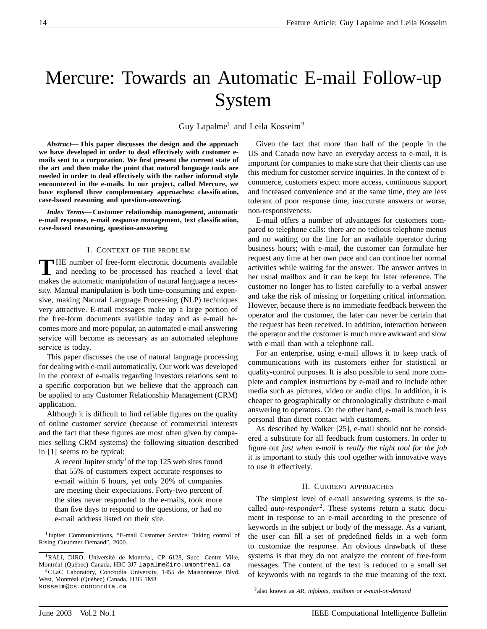# Mercure: Towards an Automatic E-mail Follow-up System

Guy Lapalme<sup>1</sup> and Leila Kosseim<sup>2</sup>

*Abstract***— This paper discusses the design and the approach we have developed in order to deal effectively with customer emails sent to a corporation. We first present the current state of the art and then make the point that natural language tools are needed in order to deal effectively with the rather informal style encountered in the e-mails. In our project, called Mercure, we have explored three complementary approaches: classification, case-based reasoning and question-answering.**

*Index Terms***— Customer relationship management, automatic e-mail response, e-mail response management, text classification, case-based reasoning, question-answering**

## I. CONTEXT OF THE PROBLEM

**T** HE number of free-form electronic documents available and needing to be processed has reached a level that makes the automatic manipulation of natural language a necessity. Manual manipulation is both time-consuming and expensive, making Natural Language Processing (NLP) techniques very attractive. E-mail messages make up a large portion of the free-form documents available today and as e-mail becomes more and more popular, an automated e-mail answering service will become as necessary as an automated telephone service is today.

This paper discusses the use of natural language processing for dealing with e-mail automatically. Our work was developed in the context of e-mails regarding investors relations sent to a specific corporation but we believe that the approach can be applied to any Customer Relationship Management (CRM) application.

Although it is difficult to find reliable figures on the quality of online customer service (because of commercial interests and the fact that these figures are most often given by companies selling CRM systems) the following situation described in [1] seems to be typical:

A recent Jupiter study<sup>1</sup> of the top 125 web sites found that 55% of customers expect accurate responses to e-mail within 6 hours, yet only 20% of companies are meeting their expectations. Forty-two percent of the sites never responded to the e-mails, took more than five days to respond to the questions, or had no e-mail address listed on their site.

1Jupiter Communications, "E-mail Customer Service: Taking control of Rising Customer Demand", 2000.

2CLaC Laboratory, Concordia University, 1455 de Maisonneuve Blvd. West, Montréal (Québec) Canada, H3G 1M8 kosseim@cs.concordia.ca

Given the fact that more than half of the people in the US and Canada now have an everyday access to e-mail, it is important for companies to make sure that their clients can use this medium for customer service inquiries. In the context of ecommerce, customers expect more access, continuous support and increased convenience and at the same time, they are less tolerant of poor response time, inaccurate answers or worse, non-responsiveness.

E-mail offers a number of advantages for customers compared to telephone calls: there are no tedious telephone menus and no waiting on the line for an available operator during business hours; with e-mail, the customer can formulate her request any time at her own pace and can continue her normal activities while waiting for the answer. The answer arrives in her usual mailbox and it can be kept for later reference. The customer no longer has to listen carefully to a verbal answer and take the risk of missing or forgetting critical information. However, because there is no immediate feedback between the operator and the customer, the later can never be certain that the request has been received. In addition, interaction between the operator and the customer is much more awkward and slow with e-mail than with a telephone call.

For an enterprise, using e-mail allows it to keep track of communications with its customers either for statistical or quality-control purposes. It is also possible to send more complete and complex instructions by e-mail and to include other media such as pictures, video or audio clips. In addition, it is cheaper to geographically or chronologically distribute e-mail answering to operators. On the other hand, e-mail is much less personal than direct contact with customers.

As described by Walker [25], e-mail should not be considered a substitute for all feedback from customers. In order to figure out *just when e-mail is really the right tool for the job* it is important to study this tool ogether with innovative ways to use it effectively.

## II. CURRENT APPROACHES

The simplest level of e-mail answering systems is the socalled *auto-responder*<sup>2</sup> . These systems return a static document in response to an e-mail according to the presence of keywords in the subject or body of the message. As a variant, the user can fill a set of predefined fields in a web form to customize the response. An obvious drawback of these systems is that they do not analyze the content of free-form messages. The content of the text is reduced to a small set of keywords with no regards to the true meaning of the text.

2also known as *AR*, *infobots*, *mailbots* or *e-mail-on-demand*

<sup>&</sup>lt;sup>1</sup>RALI, DIRO, Université de Montréal, CP 6128, Succ. Centre Ville, Montréal (Québec) Canada, H3C 3J7 lapalme@iro.umontreal.ca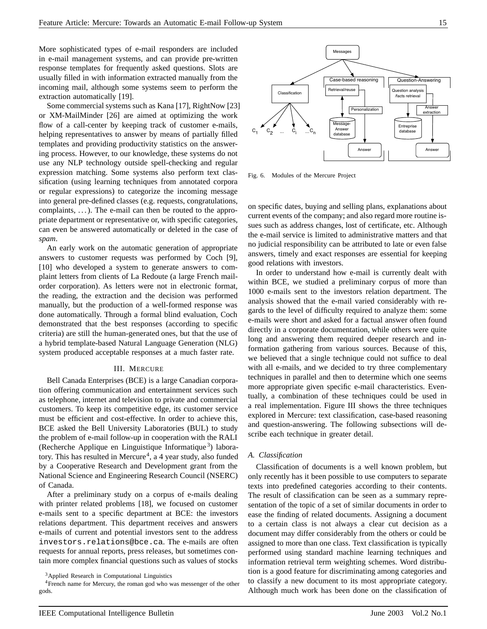More sophisticated types of e-mail responders are included in e-mail management systems, and can provide pre-written response templates for frequently asked questions. Slots are usually filled in with information extracted manually from the incoming mail, although some systems seem to perform the extraction automatically [19].

Some commercial systems such as Kana [17], RightNow [23] or XM-MailMinder [26] are aimed at optimizing the work flow of a call-center by keeping track of customer e-mails, helping representatives to answer by means of partially filled templates and providing productivity statistics on the answering process. However, to our knowledge, these systems do not use any NLP technology outside spell-checking and regular expression matching. Some systems also perform text classification (using learning techniques from annotated corpora or regular expressions) to categorize the incoming message into general pre-defined classes (e.g. requests, congratulations, complaints,  $\dots$ ). The e-mail can then be routed to the appropriate department or representative or, with specific categories, can even be answered automatically or deleted in the case of *spam*.

An early work on the automatic generation of appropriate answers to customer requests was performed by Coch [9], [10] who developed a system to generate answers to complaint letters from clients of La Redoute (a large French mailorder corporation). As letters were not in electronic format, the reading, the extraction and the decision was performed manually, but the production of a well-formed response was done automatically. Through a formal blind evaluation, Coch demonstrated that the best responses (according to specific criteria) are still the human-generated ones, but that the use of a hybrid template-based Natural Language Generation (NLG) system produced acceptable responses at a much faster rate.

## III. MERCURE

Bell Canada Enterprises (BCE) is a large Canadian corporation offering communication and entertainment services such as telephone, internet and television to private and commercial customers. To keep its competitive edge, its customer service must be efficient and cost-effective. In order to achieve this, BCE asked the Bell University Laboratories (BUL) to study the problem of e-mail follow-up in cooperation with the RALI (Recherche Applique en Linguistique Informatique<sup>3</sup>) laboratory. This has resulted in Mercure<sup>4</sup>, a 4 year study, also funded by a Cooperative Research and Development grant from the National Science and Engineering Research Council (NSERC) of Canada.

After a preliminary study on a corpus of e-mails dealing with printer related problems [18], we focused on customer e-mails sent to a specific department at BCE: the investors relations department. This department receives and answers e-mails of current and potential investors sent to the address investors.relations@bce.ca. The e-mails are often requests for annual reports, press releases, but sometimes contain more complex financial questions such as values of stocks



Fig. 6. Modules of the Mercure Project

on specific dates, buying and selling plans, explanations about current events of the company; and also regard more routine issues such as address changes, lost of certificate, etc. Although the e-mail service is limited to administrative matters and that no judicial responsibility can be attributed to late or even false answers, timely and exact responses are essential for keeping good relations with investors.

In order to understand how e-mail is currently dealt with within BCE, we studied a preliminary corpus of more than 1000 e-mails sent to the investors relation department. The analysis showed that the e-mail varied considerably with regards to the level of difficulty required to analyze them: some e-mails were short and asked for a factual answer often found directly in a corporate documentation, while others were quite long and answering them required deeper research and information gathering from various sources. Because of this, we believed that a single technique could not suffice to deal with all e-mails, and we decided to try three complementary techniques in parallel and then to determine which one seems more appropriate given specific e-mail characteristics. Eventually, a combination of these techniques could be used in a real implementation. Figure III shows the three techniques explored in Mercure: text classification, case-based reasoning and question-answering. The following subsections will describe each technique in greater detail.

### *A. Classification*

Classification of documents is a well known problem, but only recently has it been possible to use computers to separate texts into predefined categories according to their contents. The result of classification can be seen as a summary representation of the topic of a set of similar documents in order to ease the finding of related documents. Assigning a document to a certain class is not always a clear cut decision as a document may differ considerably from the others or could be assigned to more than one class. Text classification is typically performed using standard machine learning techniques and information retrieval term weighting schemes. Word distribution is a good feature for discriminating among categories and to classify a new document to its most appropriate category. Although much work has been done on the classification of

<sup>3</sup>Applied Research in Computational Linguistics

<sup>4</sup>French name for Mercury, the roman god who was messenger of the other gods.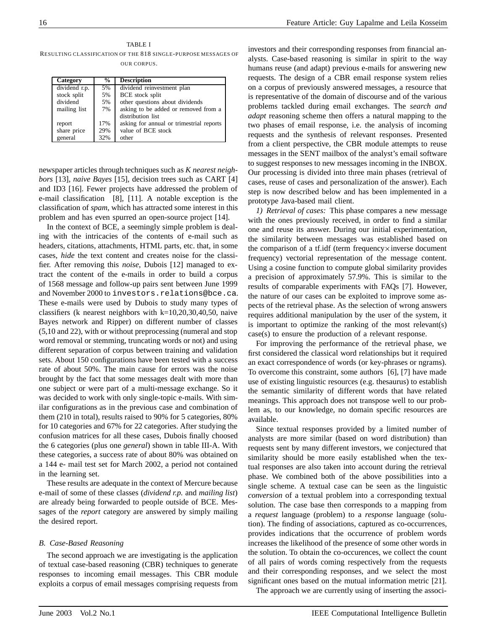## TABLE I

RESULTING CLASSIFICATION OF THE 818 SINGLE-PURPOSE MESSAGES OF OUR CORPUS.

| Category        | $\frac{6}{9}$ | <b>Description</b>                       |
|-----------------|---------------|------------------------------------------|
| $dividend$ r.p. | 5%            | dividend reinvestment plan               |
| stock split     | 5%            | BCE stock split                          |
| dividend        | 5%            | other questions about dividends          |
| mailing list    | 7%            | asking to be added or removed from a     |
|                 |               | distribution list                        |
| report          | 17%           | asking for annual or trimestrial reports |
| share price     | 29%           | value of BCE stock                       |
| general         | 32%           | other                                    |

newspaper articles through techniques such as *K nearest neighbors* [13], *naive Bayes* [15], decision trees such as CART [4] and ID3 [16]. Fewer projects have addressed the problem of e-mail classification [8], [11]. A notable exception is the classification of *spam*, which has attracted some interest in this problem and has even spurred an open-source project [14].

In the context of BCE, a seemingly simple problem is dealing with the intricacies of the contents of e-mail such as headers, citations, attachments, HTML parts, etc. that, in some cases, *hide* the text content and creates noise for the classifier. After removing this *noise*, Dubois [12] managed to extract the content of the e-mails in order to build a corpus of 1568 message and follow-up pairs sent between June 1999 and November 2000 to investors.relations@bce.ca. These e-mails were used by Dubois to study many types of classifiers (k nearest neighbors with  $k=10,20,30,40,50$ , naive Bayes network and Ripper) on different number of classes (5,10 and 22), with or without preprocessing (numeral and stop word removal or stemming, truncating words or not) and using different separation of corpus between training and validation sets. About 150 configurations have been tested with a success rate of about 50%. The main cause for errors was the noise brought by the fact that some messages dealt with more than one subject or were part of a multi-message exchange. So it was decided to work with only single-topic e-mails. With similar configurations as in the previous case and combination of them (210 in total), results raised to 90% for 5 categories, 80% for 10 categories and 67% for 22 categories. After studying the confusion matrices for all these cases, Dubois finally choosed the 6 categories (plus one *general*) shown in table III-A. With these categories, a success rate of about 80% was obtained on a 144 e- mail test set for March 2002, a period not contained in the learning set.

These results are adequate in the context of Mercure because e-mail of some of these classes (*dividend r.p.* and *mailing list*) are already being forwarded to people outside of BCE. Messages of the *report* category are answered by simply mailing the desired report.

## *B. Case-Based Reasoning*

The second approach we are investigating is the application of textual case-based reasoning (CBR) techniques to generate responses to incoming email messages. This CBR module exploits a corpus of email messages comprising requests from

investors and their corresponding responses from financial analysts. Case-based reasoning is similar in spirit to the way humans reuse (and adapt) previous e-mails for answering new requests. The design of a CBR email response system relies on a corpus of previously answered messages, a resource that is representative of the domain of discourse and of the various problems tackled during email exchanges. The *search and adapt* reasoning scheme then offers a natural mapping to the two phases of email response, i.e. the analysis of incoming requests and the synthesis of relevant responses. Presented from a client perspective, the CBR module attempts to reuse messages in the SENT mailbox of the analyst's email software to suggest responses to new messages incoming in the INBOX. Our processing is divided into three main phases (retrieval of cases, reuse of cases and personalization of the answer). Each step is now described below and has been implemented in a prototype Java-based mail client.

*1) Retrieval of cases:* This phase compares a new message with the ones previously received, in order to find a similar one and reuse its answer. During our initial experimentation, the similarity between messages was established based on the comparison of a tf.idf (term frequency x inverse document frequency) vectorial representation of the message content. Using a cosine function to compute global similarity provides a precision of approximately 57.9%. This is similar to the results of comparable experiments with FAQs [7]. However, the nature of our cases can be exploited to improve some aspects of the retrieval phase. As the selection of wrong answers requires additional manipulation by the user of the system, it is important to optimize the ranking of the most relevant(s) case(s) to ensure the production of a relevant response.

For improving the performance of the retrieval phase, we first considered the classical word relationships but it required an exact correspondence of words (or key-phrases or ngrams). To overcome this constraint, some authors [6], [7] have made use of existing linguistic resources (e.g. thesaurus) to establish the semantic similarity of different words that have related meanings. This approach does not transpose well to our problem as, to our knowledge, no domain specific resources are available.

Since textual responses provided by a limited number of analysts are more similar (based on word distribution) than requests sent by many different investors, we conjectured that similarity should be more easily established when the textual responses are also taken into account during the retrieval phase. We combined both of the above possibilities into a single scheme. A textual case can be seen as the linguistic *conversion* of a textual problem into a corresponding textual solution. The case base then corresponds to a mapping from a *request* language (problem) to a *response* language (solution). The finding of associations, captured as co-occurrences, provides indications that the occurrence of problem words increases the likelihood of the presence of some other words in the solution. To obtain the co-occurences, we collect the count of all pairs of words coming respectively from the requests and their corresponding responses, and we select the most significant ones based on the mutual information metric [21].

The approach we are currently using of inserting the associ-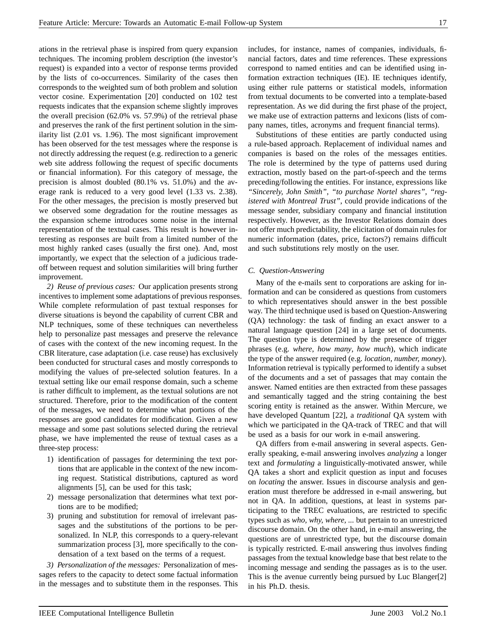ations in the retrieval phase is inspired from query expansion techniques. The incoming problem description (the investor's request) is expanded into a vector of response terms provided by the lists of co-occurrences. Similarity of the cases then corresponds to the weighted sum of both problem and solution vector cosine. Experimentation [20] conducted on 102 test requests indicates that the expansion scheme slightly improves the overall precision (62.0% vs. 57.9%) of the retrieval phase and preserves the rank of the first pertinent solution in the similarity list (2.01 vs. 1.96). The most significant improvement has been observed for the test messages where the response is not directly addressing the request (e.g. redirection to a generic web site address following the request of specific documents or financial information). For this category of message, the precision is almost doubled (80.1% vs. 51.0%) and the average rank is reduced to a very good level (1.33 vs. 2.38). For the other messages, the precision is mostly preserved but we observed some degradation for the routine messages as the expansion scheme introduces some noise in the internal representation of the textual cases. This result is however interesting as responses are built from a limited number of the most highly ranked cases (usually the first one). And, most importantly, we expect that the selection of a judicious tradeoff between request and solution similarities will bring further improvement.

*2) Reuse of previous cases:* Our application presents strong incentives to implement some adaptations of previous responses. While complete reformulation of past textual responses for diverse situations is beyond the capability of current CBR and NLP techniques, some of these techniques can nevertheless help to personalize past messages and preserve the relevance of cases with the context of the new incoming request. In the CBR literature, case adaptation (i.e. case reuse) has exclusively been conducted for structural cases and mostly corresponds to modifying the values of pre-selected solution features. In a textual setting like our email response domain, such a scheme is rather difficult to implement, as the textual solutions are not structured. Therefore, prior to the modification of the content of the messages, we need to determine what portions of the responses are good candidates for modification. Given a new message and some past solutions selected during the retrieval phase, we have implemented the reuse of textual cases as a three-step process:

- 1) identification of passages for determining the text portions that are applicable in the context of the new incoming request. Statistical distributions, captured as word alignments [5], can be used for this task;
- 2) message personalization that determines what text portions are to be modified;
- 3) pruning and substitution for removal of irrelevant passages and the substitutions of the portions to be personalized. In NLP, this corresponds to a query-relevant summarization process [3], more specifically to the condensation of a text based on the terms of a request.

*3) Personalization of the messages:* Personalization of messages refers to the capacity to detect some factual information in the messages and to substitute them in the responses. This includes, for instance, names of companies, individuals, financial factors, dates and time references. These expressions correspond to named entities and can be identified using information extraction techniques (IE). IE techniques identify, using either rule patterns or statistical models, information from textual documents to be converted into a template-based representation. As we did during the first phase of the project, we make use of extraction patterns and lexicons (lists of company names, titles, acronyms and frequent financial terms).

Substitutions of these entities are partly conducted using a rule-based approach. Replacement of individual names and companies is based on the roles of the messages entities. The role is determined by the type of patterns used during extraction, mostly based on the part-of-speech and the terms preceding/following the entities. For instance, expressions like *"Sincerely, John Smith"*, *"to purchase Nortel shares"*, *"registered with Montreal Trust"*, could provide indications of the message sender, subsidiary company and financial institution respectively. However, as the Investor Relations domain does not offer much predictability, the elicitation of domain rules for numeric information (dates, price, factors?) remains difficult and such substitutions rely mostly on the user.

## *C. Question-Answering*

Many of the e-mails sent to corporations are asking for information and can be considered as questions from customers to which representatives should answer in the best possible way. The third technique used is based on Question-Answering (QA) technology: the task of finding an exact answer to a natural language question [24] in a large set of documents. The question type is determined by the presence of trigger phrases (e.g. *where*, *how many*, *how much*), which indicate the type of the answer required (e.g. *location, number, money*). Information retrieval is typically performed to identify a subset of the documents and a set of passages that may contain the answer. Named entities are then extracted from these passages and semantically tagged and the string containing the best scoring entity is retained as the answer. Within Mercure, we have developed Quantum [22], a *traditional* QA system with which we participated in the QA-track of TREC and that will be used as a basis for our work in e-mail answering.

QA differs from e-mail answering in several aspects. Generally speaking, e-mail answering involves *analyzing* a longer text and *formulating* a linguistically-motivated answer, while QA takes a short and explicit question as input and focuses on *locating* the answer. Issues in discourse analysis and generation must therefore be addressed in e-mail answering, but not in QA. In addition, questions, at least in systems participating to the TREC evaluations, are restricted to specific types such as *who, why, where, ...* but pertain to an unrestricted discourse domain. On the other hand, in e-mail answering, the questions are of unrestricted type, but the discourse domain is typically restricted. E-mail answering thus involves finding passages from the textual knowledge base that best relate to the incoming message and sending the passages as is to the user. This is the avenue currently being pursued by Luc Blanger[2] in his Ph.D. thesis.